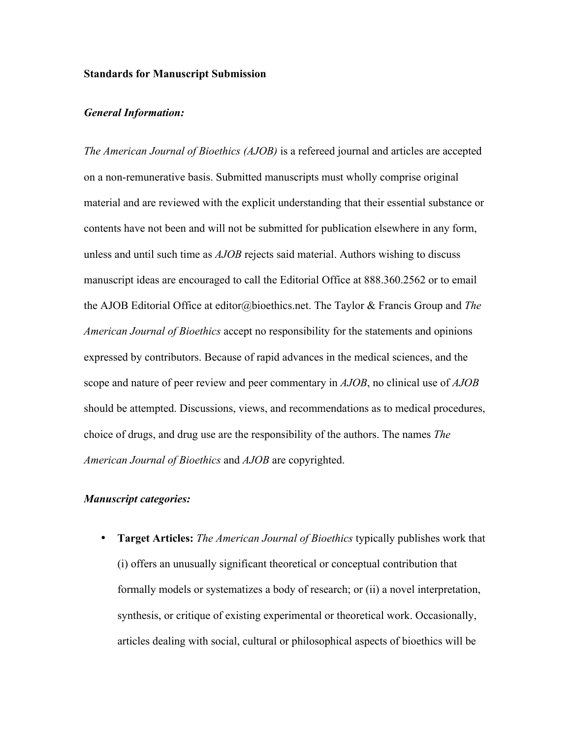#### **Standards for Manuscript Submission**

### *General Information:*

*The American Journal of Bioethics (AJOB)* is a refereed journal and articles are accepted on a non-remunerative basis. Submitted manuscripts must wholly comprise original material and are reviewed with the explicit understanding that their essential substance or contents have not been and will not be submitted for publication elsewhere in any form, unless and until such time as *AJOB* rejects said material. Authors wishing to discuss manuscript ideas are encouraged to call the Editorial Office at 888.360.2562 or to email the AJOB Editorial Office at editor@bioethics.net. The Taylor & Francis Group and *The American Journal of Bioethics* accept no responsibility for the statements and opinions expressed by contributors. Because of rapid advances in the medical sciences, and the scope and nature of peer review and peer commentary in *AJOB*, no clinical use of *AJOB* should be attempted. Discussions, views, and recommendations as to medical procedures, choice of drugs, and drug use are the responsibility of the authors. The names *The American Journal of Bioethics* and *AJOB* are copyrighted.

## *Manuscript categories:*

• **Target Articles:** *The American Journal of Bioethics* typically publishes work that (i) offers an unusually significant theoretical or conceptual contribution that formally models or systematizes a body of research; or (ii) a novel interpretation, synthesis, or critique of existing experimental or theoretical work. Occasionally, articles dealing with social, cultural or philosophical aspects of bioethics will be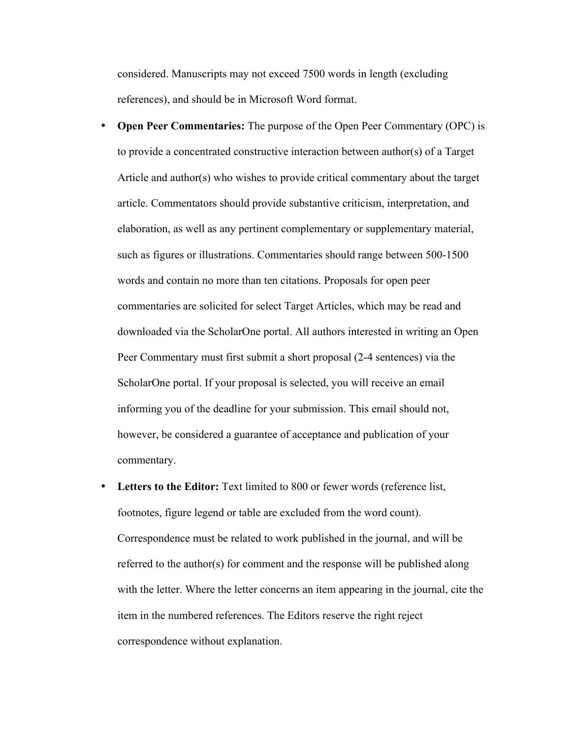considered. Manuscripts may not exceed 7500 words in length (excluding references), and should be in Microsoft Word format.

- **Open Peer Commentaries:** The purpose of the Open Peer Commentary (OPC) is to provide a concentrated constructive interaction between author(s) of a Target Article and author(s) who wishes to provide critical commentary about the target article. Commentators should provide substantive criticism, interpretation, and elaboration, as well as any pertinent complementary or supplementary material, such as figures or illustrations. Commentaries should range between 500-1500 words and contain no more than ten citations. Proposals for open peer commentaries are solicited for select Target Articles, which may be read and downloaded via the ScholarOne portal. All authors interested in writing an Open Peer Commentary must first submit a short proposal (2-4 sentences) via the ScholarOne portal. If your proposal is selected, you will receive an email informing you of the deadline for your submission. This email should not, however, be considered a guarantee of acceptance and publication of your commentary.
- **Letters to the Editor:** Text limited to 800 or fewer words (reference list, footnotes, figure legend or table are excluded from the word count). Correspondence must be related to work published in the journal, and will be referred to the author(s) for comment and the response will be published along with the letter. Where the letter concerns an item appearing in the journal, cite the item in the numbered references. The Editors reserve the right reject correspondence without explanation.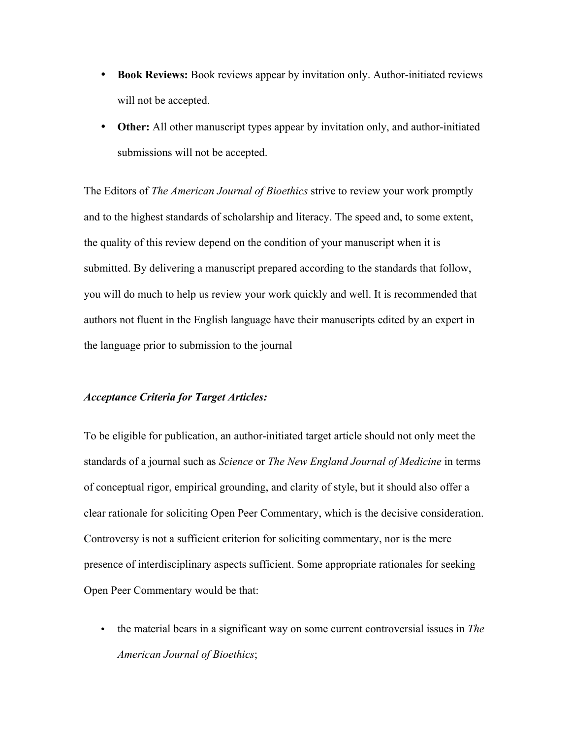- **Book Reviews:** Book reviews appear by invitation only. Author-initiated reviews will not be accepted.
- **Other:** All other manuscript types appear by invitation only, and author-initiated submissions will not be accepted.

The Editors of *The American Journal of Bioethics* strive to review your work promptly and to the highest standards of scholarship and literacy. The speed and, to some extent, the quality of this review depend on the condition of your manuscript when it is submitted. By delivering a manuscript prepared according to the standards that follow, you will do much to help us review your work quickly and well. It is recommended that authors not fluent in the English language have their manuscripts edited by an expert in the language prior to submission to the journal

## *Acceptance Criteria for Target Articles:*

To be eligible for publication, an author-initiated target article should not only meet the standards of a journal such as *Science* or *The New England Journal of Medicine* in terms of conceptual rigor, empirical grounding, and clarity of style, but it should also offer a clear rationale for soliciting Open Peer Commentary, which is the decisive consideration. Controversy is not a sufficient criterion for soliciting commentary, nor is the mere presence of interdisciplinary aspects sufficient. Some appropriate rationales for seeking Open Peer Commentary would be that:

• the material bears in a significant way on some current controversial issues in *The American Journal of Bioethics*;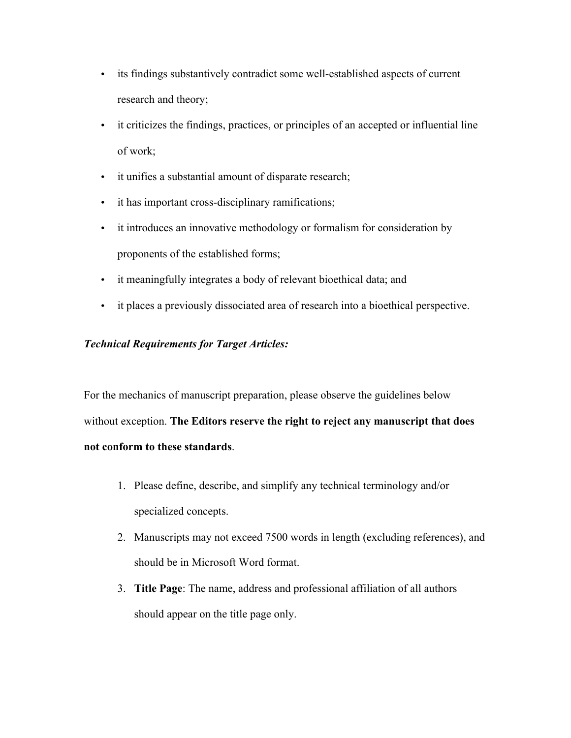- its findings substantively contradict some well-established aspects of current research and theory;
- it criticizes the findings, practices, or principles of an accepted or influential line of work;
- it unifies a substantial amount of disparate research;
- it has important cross-disciplinary ramifications;
- it introduces an innovative methodology or formalism for consideration by proponents of the established forms;
- it meaningfully integrates a body of relevant bioethical data; and
- it places a previously dissociated area of research into a bioethical perspective.

# *Technical Requirements for Target Articles:*

For the mechanics of manuscript preparation, please observe the guidelines below without exception. **The Editors reserve the right to reject any manuscript that does not conform to these standards**.

- 1. Please define, describe, and simplify any technical terminology and/or specialized concepts.
- 2. Manuscripts may not exceed 7500 words in length (excluding references), and should be in Microsoft Word format.
- 3. **Title Page**: The name, address and professional affiliation of all authors should appear on the title page only.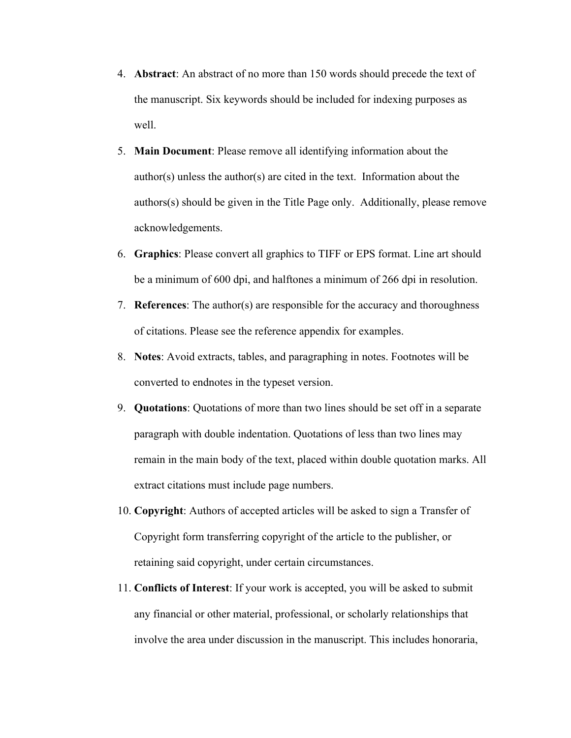- 4. **Abstract**: An abstract of no more than 150 words should precede the text of the manuscript. Six keywords should be included for indexing purposes as well.
- 5. **Main Document**: Please remove all identifying information about the author(s) unless the author(s) are cited in the text. Information about the authors(s) should be given in the Title Page only. Additionally, please remove acknowledgements.
- 6. **Graphics**: Please convert all graphics to TIFF or EPS format. Line art should be a minimum of 600 dpi, and halftones a minimum of 266 dpi in resolution.
- 7. **References**: The author(s) are responsible for the accuracy and thoroughness of citations. Please see the reference appendix for examples.
- 8. **Notes**: Avoid extracts, tables, and paragraphing in notes. Footnotes will be converted to endnotes in the typeset version.
- 9. **Quotations**: Quotations of more than two lines should be set off in a separate paragraph with double indentation. Quotations of less than two lines may remain in the main body of the text, placed within double quotation marks. All extract citations must include page numbers.
- 10. **Copyright**: Authors of accepted articles will be asked to sign a Transfer of Copyright form transferring copyright of the article to the publisher, or retaining said copyright, under certain circumstances.
- 11. **Conflicts of Interest**: If your work is accepted, you will be asked to submit any financial or other material, professional, or scholarly relationships that involve the area under discussion in the manuscript. This includes honoraria,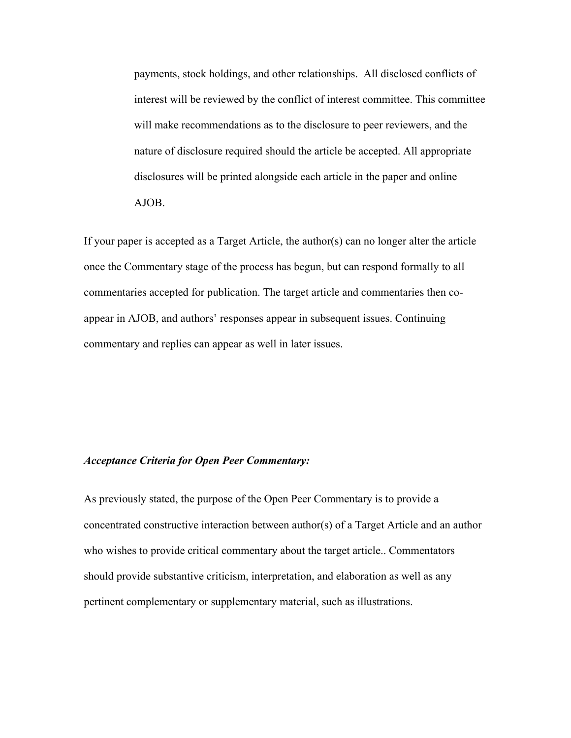payments, stock holdings, and other relationships. All disclosed conflicts of interest will be reviewed by the conflict of interest committee. This committee will make recommendations as to the disclosure to peer reviewers, and the nature of disclosure required should the article be accepted. All appropriate disclosures will be printed alongside each article in the paper and online AJOB.

If your paper is accepted as a Target Article, the author(s) can no longer alter the article once the Commentary stage of the process has begun, but can respond formally to all commentaries accepted for publication. The target article and commentaries then coappear in AJOB, and authors' responses appear in subsequent issues. Continuing commentary and replies can appear as well in later issues.

### *Acceptance Criteria for Open Peer Commentary:*

As previously stated, the purpose of the Open Peer Commentary is to provide a concentrated constructive interaction between author(s) of a Target Article and an author who wishes to provide critical commentary about the target article.. Commentators should provide substantive criticism, interpretation, and elaboration as well as any pertinent complementary or supplementary material, such as illustrations.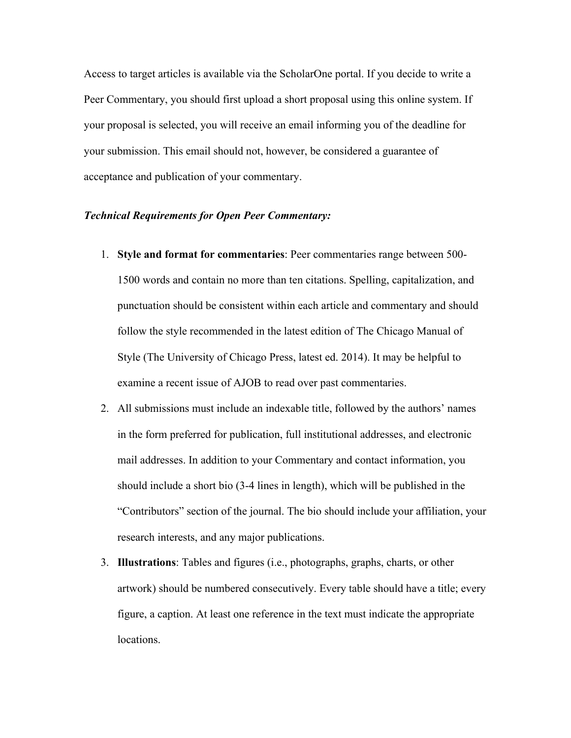Access to target articles is available via the ScholarOne portal. If you decide to write a Peer Commentary, you should first upload a short proposal using this online system. If your proposal is selected, you will receive an email informing you of the deadline for your submission. This email should not, however, be considered a guarantee of acceptance and publication of your commentary.

### *Technical Requirements for Open Peer Commentary:*

- 1. **Style and format for commentaries**: Peer commentaries range between 500- 1500 words and contain no more than ten citations. Spelling, capitalization, and punctuation should be consistent within each article and commentary and should follow the style recommended in the latest edition of The Chicago Manual of Style (The University of Chicago Press, latest ed. 2014). It may be helpful to examine a recent issue of AJOB to read over past commentaries.
- 2. All submissions must include an indexable title, followed by the authors' names in the form preferred for publication, full institutional addresses, and electronic mail addresses. In addition to your Commentary and contact information, you should include a short bio (3-4 lines in length), which will be published in the "Contributors" section of the journal. The bio should include your affiliation, your research interests, and any major publications.
- 3. **Illustrations**: Tables and figures (i.e., photographs, graphs, charts, or other artwork) should be numbered consecutively. Every table should have a title; every figure, a caption. At least one reference in the text must indicate the appropriate locations.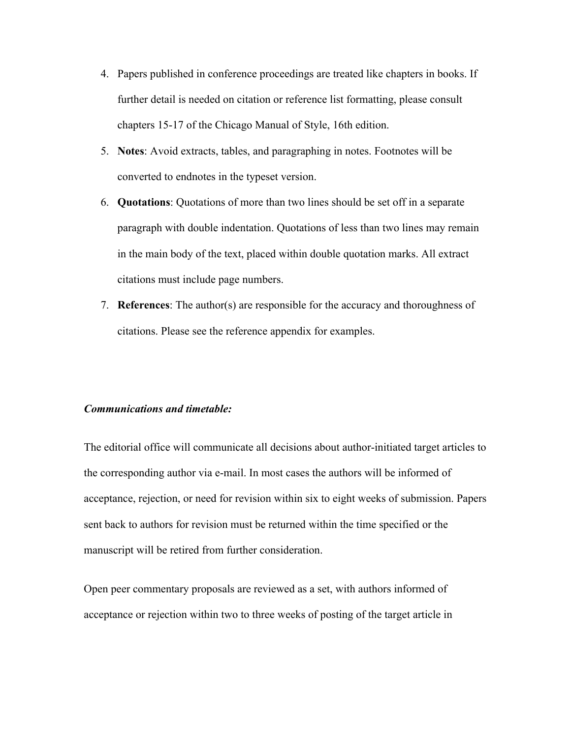- 4. Papers published in conference proceedings are treated like chapters in books. If further detail is needed on citation or reference list formatting, please consult chapters 15-17 of the Chicago Manual of Style, 16th edition.
- 5. **Notes**: Avoid extracts, tables, and paragraphing in notes. Footnotes will be converted to endnotes in the typeset version.
- 6. **Quotations**: Quotations of more than two lines should be set off in a separate paragraph with double indentation. Quotations of less than two lines may remain in the main body of the text, placed within double quotation marks. All extract citations must include page numbers.
- 7. **References**: The author(s) are responsible for the accuracy and thoroughness of citations. Please see the reference appendix for examples.

#### *Communications and timetable:*

The editorial office will communicate all decisions about author-initiated target articles to the corresponding author via e-mail. In most cases the authors will be informed of acceptance, rejection, or need for revision within six to eight weeks of submission. Papers sent back to authors for revision must be returned within the time specified or the manuscript will be retired from further consideration.

Open peer commentary proposals are reviewed as a set, with authors informed of acceptance or rejection within two to three weeks of posting of the target article in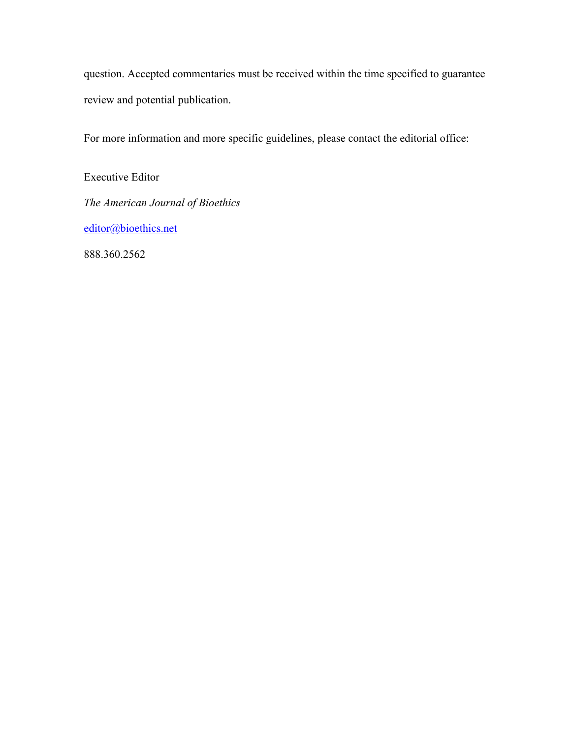question. Accepted commentaries must be received within the time specified to guarantee review and potential publication.

For more information and more specific guidelines, please contact the editorial office:

Executive Editor *The American Journal of Bioethics* editor@bioethics.net

888.360.2562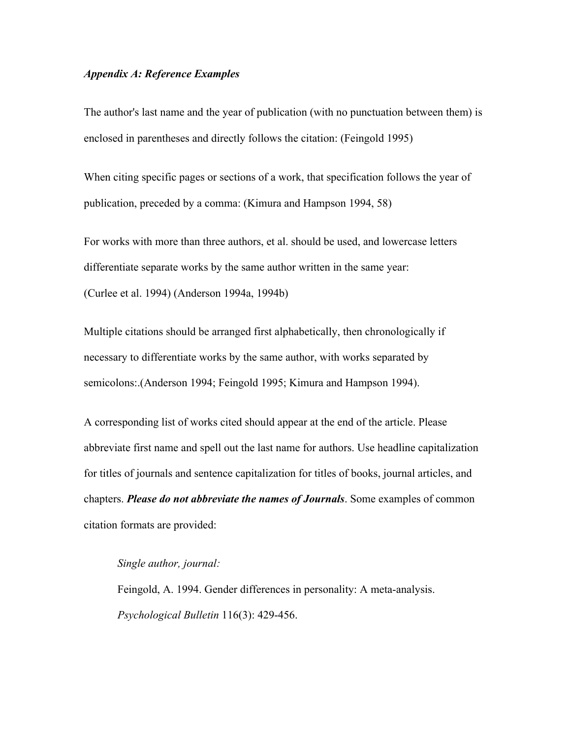## *Appendix A: Reference Examples*

The author's last name and the year of publication (with no punctuation between them) is enclosed in parentheses and directly follows the citation: (Feingold 1995)

When citing specific pages or sections of a work, that specification follows the year of publication, preceded by a comma: (Kimura and Hampson 1994, 58)

For works with more than three authors, et al. should be used, and lowercase letters differentiate separate works by the same author written in the same year: (Curlee et al. 1994) (Anderson 1994a, 1994b)

Multiple citations should be arranged first alphabetically, then chronologically if necessary to differentiate works by the same author, with works separated by semicolons:.(Anderson 1994; Feingold 1995; Kimura and Hampson 1994).

A corresponding list of works cited should appear at the end of the article. Please abbreviate first name and spell out the last name for authors. Use headline capitalization for titles of journals and sentence capitalization for titles of books, journal articles, and chapters. *Please do not abbreviate the names of Journals*. Some examples of common citation formats are provided:

## *Single author, journal:*

Feingold, A. 1994. Gender differences in personality: A meta-analysis. *Psychological Bulletin* 116(3): 429-456.